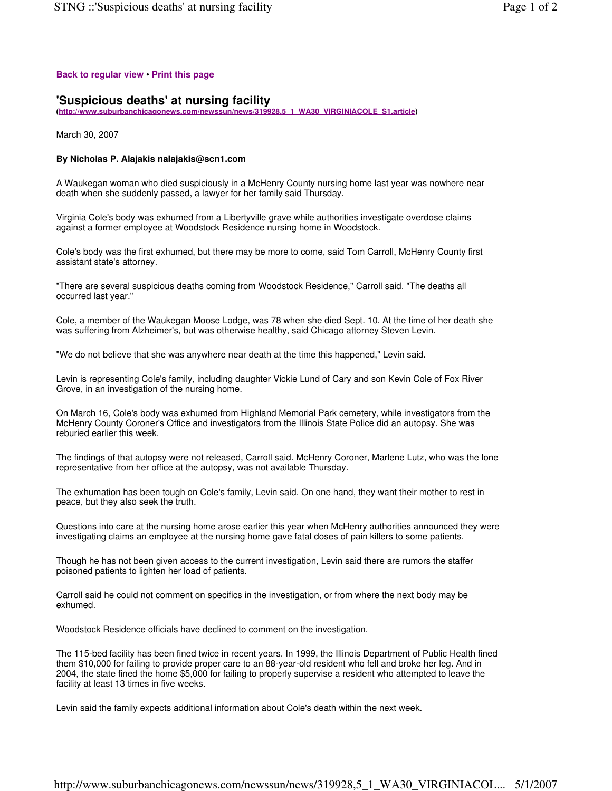## **Back to regular view** • **Print this page**

## **'Suspicious deaths' at nursing facility**

**(http://www.suburbanchicagonews.com/newssun/news/319928,5\_1\_WA30\_VIRGINIACOLE\_S1.article)**

March 30, 2007

## **By Nicholas P. Alajakis nalajakis@scn1.com**

A Waukegan woman who died suspiciously in a McHenry County nursing home last year was nowhere near death when she suddenly passed, a lawyer for her family said Thursday.

Virginia Cole's body was exhumed from a Libertyville grave while authorities investigate overdose claims against a former employee at Woodstock Residence nursing home in Woodstock.

Cole's body was the first exhumed, but there may be more to come, said Tom Carroll, McHenry County first assistant state's attorney.

"There are several suspicious deaths coming from Woodstock Residence," Carroll said. "The deaths all occurred last year."

Cole, a member of the Waukegan Moose Lodge, was 78 when she died Sept. 10. At the time of her death she was suffering from Alzheimer's, but was otherwise healthy, said Chicago attorney Steven Levin.

"We do not believe that she was anywhere near death at the time this happened," Levin said.

Levin is representing Cole's family, including daughter Vickie Lund of Cary and son Kevin Cole of Fox River Grove, in an investigation of the nursing home.

On March 16, Cole's body was exhumed from Highland Memorial Park cemetery, while investigators from the McHenry County Coroner's Office and investigators from the Illinois State Police did an autopsy. She was reburied earlier this week.

The findings of that autopsy were not released, Carroll said. McHenry Coroner, Marlene Lutz, who was the lone representative from her office at the autopsy, was not available Thursday.

The exhumation has been tough on Cole's family, Levin said. On one hand, they want their mother to rest in peace, but they also seek the truth.

Questions into care at the nursing home arose earlier this year when McHenry authorities announced they were investigating claims an employee at the nursing home gave fatal doses of pain killers to some patients.

Though he has not been given access to the current investigation, Levin said there are rumors the staffer poisoned patients to lighten her load of patients.

Carroll said he could not comment on specifics in the investigation, or from where the next body may be exhumed.

Woodstock Residence officials have declined to comment on the investigation.

The 115-bed facility has been fined twice in recent years. In 1999, the Illinois Department of Public Health fined them \$10,000 for failing to provide proper care to an 88-year-old resident who fell and broke her leg. And in 2004, the state fined the home \$5,000 for failing to properly supervise a resident who attempted to leave the facility at least 13 times in five weeks.

Levin said the family expects additional information about Cole's death within the next week.